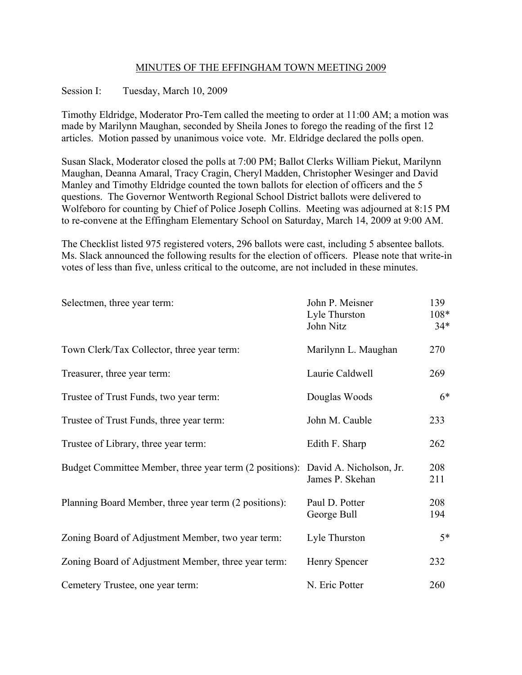## MINUTES OF THE EFFINGHAM TOWN MEETING 2009

## Session I: Tuesday, March 10, 2009

Timothy Eldridge, Moderator Pro-Tem called the meeting to order at 11:00 AM; a motion was made by Marilynn Maughan, seconded by Sheila Jones to forego the reading of the first 12 articles. Motion passed by unanimous voice vote. Mr. Eldridge declared the polls open.

Susan Slack, Moderator closed the polls at 7:00 PM; Ballot Clerks William Piekut, Marilynn Maughan, Deanna Amaral, Tracy Cragin, Cheryl Madden, Christopher Wesinger and David Manley and Timothy Eldridge counted the town ballots for election of officers and the 5 questions. The Governor Wentworth Regional School District ballots were delivered to Wolfeboro for counting by Chief of Police Joseph Collins. Meeting was adjourned at 8:15 PM to re-convene at the Effingham Elementary School on Saturday, March 14, 2009 at 9:00 AM.

The Checklist listed 975 registered voters, 296 ballots were cast, including 5 absentee ballots. Ms. Slack announced the following results for the election of officers. Please note that write-in votes of less than five, unless critical to the outcome, are not included in these minutes.

| Selectmen, three year term:                                                     | John P. Meisner<br>Lyle Thurston<br>John Nitz | 139<br>$108*$<br>$34*$ |
|---------------------------------------------------------------------------------|-----------------------------------------------|------------------------|
| Town Clerk/Tax Collector, three year term:                                      | Marilynn L. Maughan                           | 270                    |
| Treasurer, three year term:                                                     | Laurie Caldwell                               | 269                    |
| Trustee of Trust Funds, two year term:                                          | Douglas Woods                                 | $6*$                   |
| Trustee of Trust Funds, three year term:                                        | John M. Cauble                                | 233                    |
| Trustee of Library, three year term:                                            | Edith F. Sharp                                | 262                    |
| Budget Committee Member, three year term (2 positions): David A. Nicholson, Jr. | James P. Skehan                               | 208<br>211             |
| Planning Board Member, three year term (2 positions):                           | Paul D. Potter<br>George Bull                 | 208<br>194             |
| Zoning Board of Adjustment Member, two year term:                               | Lyle Thurston                                 | $5*$                   |
| Zoning Board of Adjustment Member, three year term:                             | Henry Spencer                                 | 232                    |
| Cemetery Trustee, one year term:                                                | N. Eric Potter                                | 260                    |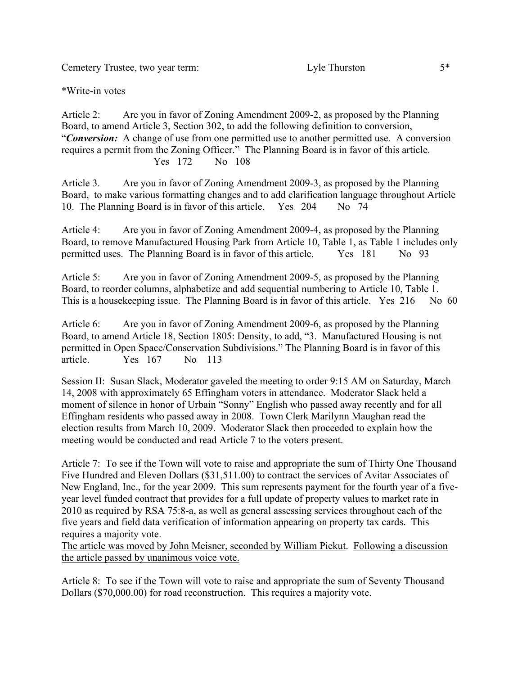Cemetery Trustee, two year term: Lyle Thurston 5\*

\*Write-in votes

Article 2: Are you in favor of Zoning Amendment 2009-2, as proposed by the Planning Board, to amend Article 3, Section 302, to add the following definition to conversion, "*Conversion:* A change of use from one permitted use to another permitted use. A conversion requires a permit from the Zoning Officer." The Planning Board is in favor of this article. Yes 172 No 108

Article 3. Are you in favor of Zoning Amendment 2009-3, as proposed by the Planning Board, to make various formatting changes and to add clarification language throughout Article 10. The Planning Board is in favor of this article. Yes 204 No 74

Article 4: Are you in favor of Zoning Amendment 2009-4, as proposed by the Planning Board, to remove Manufactured Housing Park from Article 10, Table 1, as Table 1 includes only permitted uses. The Planning Board is in favor of this article. Yes 181 No 93

Article 5: Are you in favor of Zoning Amendment 2009-5, as proposed by the Planning Board, to reorder columns, alphabetize and add sequential numbering to Article 10, Table 1. This is a house keeping issue. The Planning Board is in favor of this article. Yes 216 No 60

Article 6: Are you in favor of Zoning Amendment 2009-6, as proposed by the Planning Board, to amend Article 18, Section 1805: Density, to add, "3. Manufactured Housing is not permitted in Open Space/Conservation Subdivisions." The Planning Board is in favor of this article. Yes 167 No 113

Session II: Susan Slack, Moderator gaveled the meeting to order 9:15 AM on Saturday, March 14, 2008 with approximately 65 Effingham voters in attendance. Moderator Slack held a moment of silence in honor of Urbain "Sonny" English who passed away recently and for all Effingham residents who passed away in 2008. Town Clerk Marilynn Maughan read the election results from March 10, 2009. Moderator Slack then proceeded to explain how the meeting would be conducted and read Article 7 to the voters present.

Article 7: To see if the Town will vote to raise and appropriate the sum of Thirty One Thousand Five Hundred and Eleven Dollars (\$31,511.00) to contract the services of Avitar Associates of New England, Inc., for the year 2009. This sum represents payment for the fourth year of a fiveyear level funded contract that provides for a full update of property values to market rate in 2010 as required by RSA 75:8-a, as well as general assessing services throughout each of the five years and field data verification of information appearing on property tax cards. This requires a majority vote.

The article was moved by John Meisner, seconded by William Piekut. Following a discussion the article passed by unanimous voice vote.

Article 8: To see if the Town will vote to raise and appropriate the sum of Seventy Thousand Dollars (\$70,000.00) for road reconstruction. This requires a majority vote.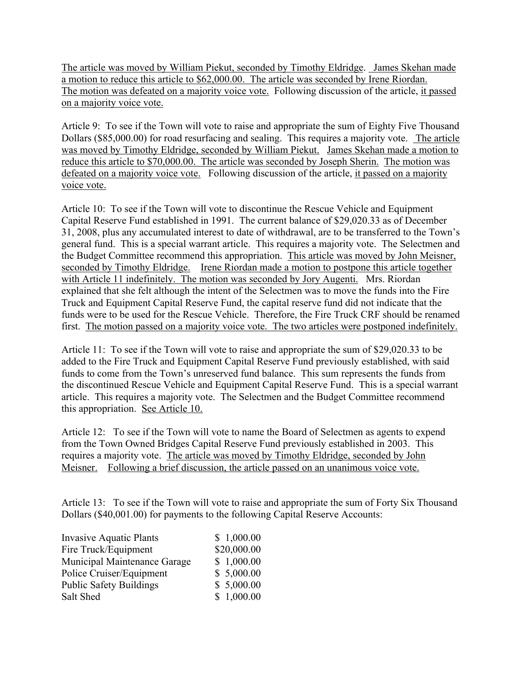The article was moved by William Piekut, seconded by Timothy Eldridge. James Skehan made a motion to reduce this article to \$62,000.00. The article was seconded by Irene Riordan. The motion was defeated on a majority voice vote. Following discussion of the article, it passed on a majority voice vote.

Article 9: To see if the Town will vote to raise and appropriate the sum of Eighty Five Thousand Dollars (\$85,000.00) for road resurfacing and sealing. This requires a majority vote. The article was moved by Timothy Eldridge, seconded by William Piekut. James Skehan made a motion to reduce this article to \$70,000.00. The article was seconded by Joseph Sherin. The motion was defeated on a majority voice vote. Following discussion of the article, it passed on a majority voice vote.

Article 10: To see if the Town will vote to discontinue the Rescue Vehicle and Equipment Capital Reserve Fund established in 1991. The current balance of \$29,020.33 as of December 31, 2008, plus any accumulated interest to date of withdrawal, are to be transferred to the Town's general fund. This is a special warrant article. This requires a majority vote. The Selectmen and the Budget Committee recommend this appropriation. This article was moved by John Meisner, seconded by Timothy Eldridge. Irene Riordan made a motion to postpone this article together with Article 11 indefinitely. The motion was seconded by Jory Augenti. Mrs. Riordan explained that she felt although the intent of the Selectmen was to move the funds into the Fire Truck and Equipment Capital Reserve Fund, the capital reserve fund did not indicate that the funds were to be used for the Rescue Vehicle. Therefore, the Fire Truck CRF should be renamed first. The motion passed on a majority voice vote. The two articles were postponed indefinitely.

Article 11: To see if the Town will vote to raise and appropriate the sum of \$29,020.33 to be added to the Fire Truck and Equipment Capital Reserve Fund previously established, with said funds to come from the Town's unreserved fund balance. This sum represents the funds from the discontinued Rescue Vehicle and Equipment Capital Reserve Fund. This is a special warrant article. This requires a majority vote. The Selectmen and the Budget Committee recommend this appropriation. See Article 10.

Article 12: To see if the Town will vote to name the Board of Selectmen as agents to expend from the Town Owned Bridges Capital Reserve Fund previously established in 2003. This requires a majority vote. The article was moved by Timothy Eldridge, seconded by John Meisner. Following a brief discussion, the article passed on an unanimous voice vote.

Article 13: To see if the Town will vote to raise and appropriate the sum of Forty Six Thousand Dollars (\$40,001.00) for payments to the following Capital Reserve Accounts:

| <b>Invasive Aquatic Plants</b> | \$1,000.00  |
|--------------------------------|-------------|
| Fire Truck/Equipment           | \$20,000.00 |
| Municipal Maintenance Garage   | \$1,000.00  |
| Police Cruiser/Equipment       | \$5,000.00  |
| <b>Public Safety Buildings</b> | \$5,000.00  |
| Salt Shed                      | \$1,000.00  |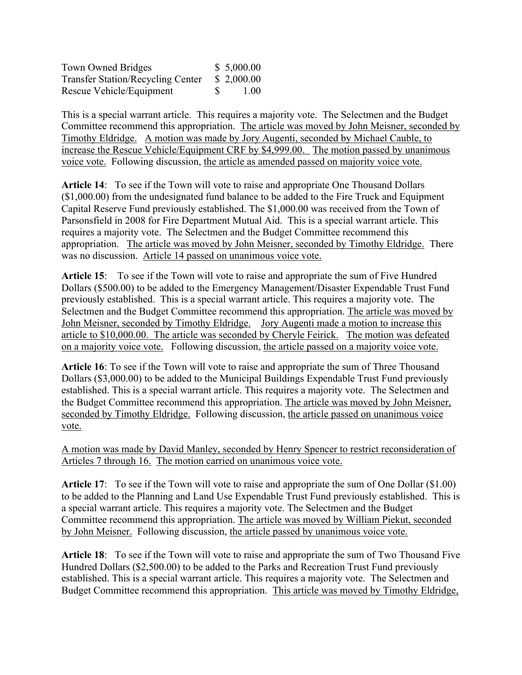| Town Owned Bridges                       |   | \$5,000.00 |
|------------------------------------------|---|------------|
| <b>Transfer Station/Recycling Center</b> |   | \$2,000.00 |
| Rescue Vehicle/Equipment                 | S | 1.00       |

This is a special warrant article. This requires a majority vote. The Selectmen and the Budget Committee recommend this appropriation. The article was moved by John Meisner, seconded by Timothy Eldridge. A motion was made by Jory Augenti, seconded by Michael Cauble, to increase the Rescue Vehicle/Equipment CRF by \$4,999.00. The motion passed by unanimous voice vote. Following discussion, the article as amended passed on majority voice vote.

**Article 14**: To see if the Town will vote to raise and appropriate One Thousand Dollars (\$1,000.00) from the undesignated fund balance to be added to the Fire Truck and Equipment Capital Reserve Fund previously established. The \$1,000.00 was received from the Town of Parsonsfield in 2008 for Fire Department Mutual Aid. This is a special warrant article. This requires a majority vote. The Selectmen and the Budget Committee recommend this appropriation. The article was moved by John Meisner, seconded by Timothy Eldridge. There was no discussion. Article 14 passed on unanimous voice vote.

**Article 15**: To see if the Town will vote to raise and appropriate the sum of Five Hundred Dollars (\$500.00) to be added to the Emergency Management/Disaster Expendable Trust Fund previously established. This is a special warrant article. This requires a majority vote. The Selectmen and the Budget Committee recommend this appropriation. The article was moved by John Meisner, seconded by Timothy Eldridge. Jory Augenti made a motion to increase this article to \$10,000.00. The article was seconded by Cheryle Feirick. The motion was defeated on a majority voice vote. Following discussion, the article passed on a majority voice vote.

**Article 16**: To see if the Town will vote to raise and appropriate the sum of Three Thousand Dollars (\$3,000.00) to be added to the Municipal Buildings Expendable Trust Fund previously established. This is a special warrant article. This requires a majority vote. The Selectmen and the Budget Committee recommend this appropriation. The article was moved by John Meisner, seconded by Timothy Eldridge. Following discussion, the article passed on unanimous voice vote.

A motion was made by David Manley, seconded by Henry Spencer to restrict reconsideration of Articles 7 through 16. The motion carried on unanimous voice vote.

**Article 17**: To see if the Town will vote to raise and appropriate the sum of One Dollar (\$1.00) to be added to the Planning and Land Use Expendable Trust Fund previously established. This is a special warrant article. This requires a majority vote. The Selectmen and the Budget Committee recommend this appropriation. The article was moved by William Piekut, seconded by John Meisner. Following discussion, the article passed by unanimous voice vote.

**Article 18**: To see if the Town will vote to raise and appropriate the sum of Two Thousand Five Hundred Dollars (\$2,500.00) to be added to the Parks and Recreation Trust Fund previously established. This is a special warrant article. This requires a majority vote. The Selectmen and Budget Committee recommend this appropriation. This article was moved by Timothy Eldridge,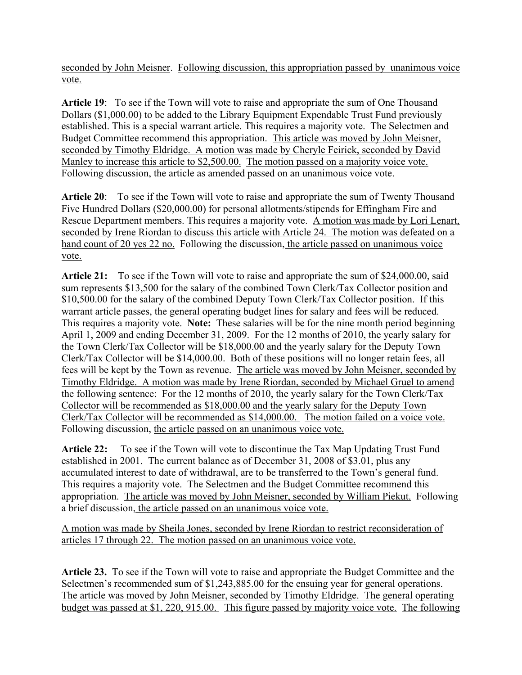seconded by John Meisner. Following discussion, this appropriation passed by unanimous voice vote.

**Article 19**: To see if the Town will vote to raise and appropriate the sum of One Thousand Dollars (\$1,000.00) to be added to the Library Equipment Expendable Trust Fund previously established. This is a special warrant article. This requires a majority vote. The Selectmen and Budget Committee recommend this appropriation. This article was moved by John Meisner, seconded by Timothy Eldridge. A motion was made by Cheryle Feirick, seconded by David Manley to increase this article to \$2,500.00. The motion passed on a majority voice vote. Following discussion, the article as amended passed on an unanimous voice vote.

**Article 20**: To see if the Town will vote to raise and appropriate the sum of Twenty Thousand Five Hundred Dollars (\$20,000.00) for personal allotments/stipends for Effingham Fire and Rescue Department members. This requires a majority vote. A motion was made by Lori Lenart, seconded by Irene Riordan to discuss this article with Article 24. The motion was defeated on a hand count of 20 yes 22 no. Following the discussion, the article passed on unanimous voice vote.

**Article 21:** To see if the Town will vote to raise and appropriate the sum of \$24,000.00, said sum represents \$13,500 for the salary of the combined Town Clerk/Tax Collector position and \$10,500.00 for the salary of the combined Deputy Town Clerk/Tax Collector position. If this warrant article passes, the general operating budget lines for salary and fees will be reduced. This requires a majority vote. **Note:** These salaries will be for the nine month period beginning April 1, 2009 and ending December 31, 2009. For the 12 months of 2010, the yearly salary for the Town Clerk/Tax Collector will be \$18,000.00 and the yearly salary for the Deputy Town Clerk/Tax Collector will be \$14,000.00. Both of these positions will no longer retain fees, all fees will be kept by the Town as revenue. The article was moved by John Meisner, seconded by Timothy Eldridge. A motion was made by Irene Riordan, seconded by Michael Gruel to amend the following sentence: For the 12 months of 2010, the yearly salary for the Town Clerk/Tax Collector will be recommended as \$18,000.00 and the yearly salary for the Deputy Town Clerk/Tax Collector will be recommended as \$14,000.00. The motion failed on a voice vote. Following discussion, the article passed on an unanimous voice vote.

**Article 22:** To see if the Town will vote to discontinue the Tax Map Updating Trust Fund established in 2001. The current balance as of December 31, 2008 of \$3.01, plus any accumulated interest to date of withdrawal, are to be transferred to the Town's general fund. This requires a majority vote. The Selectmen and the Budget Committee recommend this appropriation. The article was moved by John Meisner, seconded by William Piekut. Following a brief discussion, the article passed on an unanimous voice vote.

A motion was made by Sheila Jones, seconded by Irene Riordan to restrict reconsideration of articles 17 through 22. The motion passed on an unanimous voice vote.

**Article 23.** To see if the Town will vote to raise and appropriate the Budget Committee and the Selectmen's recommended sum of \$1,243,885.00 for the ensuing year for general operations. The article was moved by John Meisner, seconded by Timothy Eldridge. The general operating budget was passed at \$1, 220, 915.00. This figure passed by majority voice vote. The following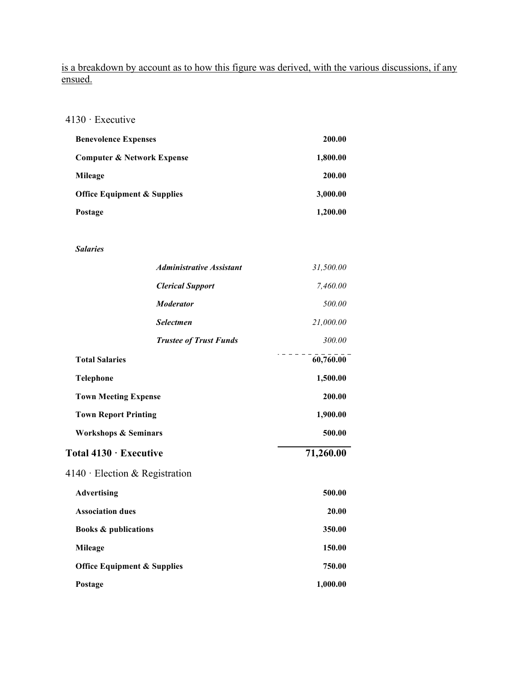is a breakdown by account as to how this figure was derived, with the various discussions, if any ensued.

4130 · Executive

| <b>Benevolence Expenses</b>            | 200.00   |
|----------------------------------------|----------|
| <b>Computer &amp; Network Expense</b>  | 1,800.00 |
| Mileage                                | 200.00   |
| <b>Office Equipment &amp; Supplies</b> | 3,000.00 |
| Postage                                | 1,200.00 |

*Salaries*

|                                        | <b>Administrative Assistant</b> | 31,500.00 |
|----------------------------------------|---------------------------------|-----------|
|                                        | <b>Clerical Support</b>         | 7,460.00  |
|                                        | <b>Moderator</b>                | 500.00    |
|                                        | <b>Selectmen</b>                | 21,000.00 |
|                                        | <b>Trustee of Trust Funds</b>   | 300.00    |
| <b>Total Salaries</b>                  |                                 | 60,760.00 |
| <b>Telephone</b>                       |                                 | 1,500.00  |
| <b>Town Meeting Expense</b>            |                                 | 200.00    |
| <b>Town Report Printing</b>            |                                 | 1,900.00  |
| <b>Workshops &amp; Seminars</b>        |                                 | 500.00    |
| Total 4130 · Executive                 |                                 | 71,260.00 |
| $4140 \cdot$ Election & Registration   |                                 |           |
| <b>Advertising</b>                     |                                 | 500.00    |
| <b>Association dues</b>                |                                 | 20.00     |
| <b>Books &amp; publications</b>        |                                 | 350.00    |
| <b>Mileage</b>                         |                                 | 150.00    |
| <b>Office Equipment &amp; Supplies</b> |                                 | 750.00    |
| Postage                                |                                 | 1,000.00  |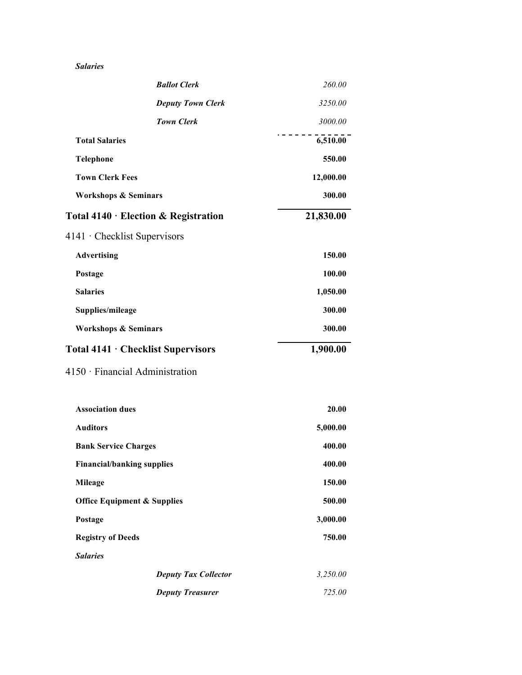#### *Salaries*

| <b>Ballot Clerk</b>                        | 260.00    |
|--------------------------------------------|-----------|
| <b>Deputy Town Clerk</b>                   | 3250.00   |
| <b>Town Clerk</b>                          | 3000.00   |
| <b>Total Salaries</b>                      | 6,510.00  |
| <b>Telephone</b>                           | 550.00    |
| <b>Town Clerk Fees</b>                     | 12,000.00 |
| <b>Workshops &amp; Seminars</b>            | 300.00    |
| Total $4140 \cdot$ Election & Registration | 21,830.00 |
| 4141 • Checklist Supervisors               |           |
| <b>Advertising</b>                         | 150.00    |
| Postage                                    | 100.00    |
| <b>Salaries</b>                            | 1,050.00  |
| Supplies/mileage                           | 300.00    |
| <b>Workshops &amp; Seminars</b>            | 300.00    |
|                                            |           |
| Total 4141 · Checklist Supervisors         | 1,900.00  |
| 4150 Financial Administration              |           |
| <b>Association dues</b>                    | 20.00     |
| <b>Auditors</b>                            | 5,000.00  |
| <b>Bank Service Charges</b>                | 400.00    |
| <b>Financial/banking supplies</b>          | 400.00    |
| <b>Mileage</b>                             | 150.00    |
| <b>Office Equipment &amp; Supplies</b>     | 500.00    |
| Postage                                    | 3,000.00  |
| <b>Registry of Deeds</b>                   | 750.00    |
| <b>Salaries</b>                            |           |
| <b>Deputy Tax Collector</b>                | 3,250.00  |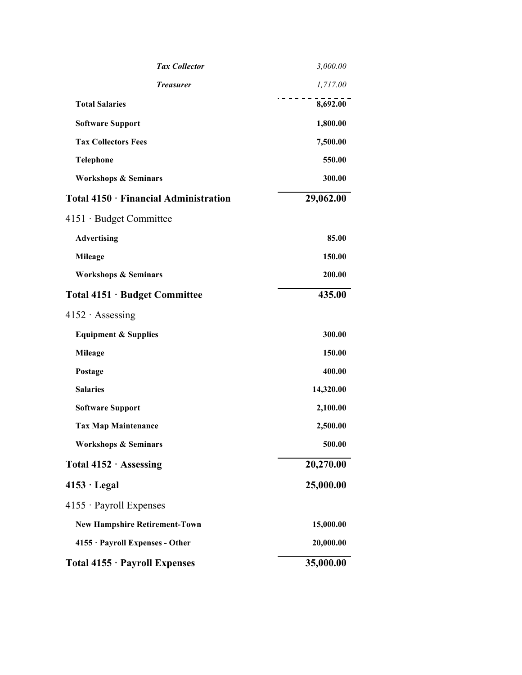| <b>Tax Collector</b>                  | 3,000.00  |
|---------------------------------------|-----------|
| <b>Treasurer</b>                      | 1,717.00  |
| <b>Total Salaries</b>                 | 8,692.00  |
| <b>Software Support</b>               | 1,800.00  |
| <b>Tax Collectors Fees</b>            | 7,500.00  |
| <b>Telephone</b>                      | 550.00    |
| <b>Workshops &amp; Seminars</b>       | 300.00    |
| Total 4150 · Financial Administration | 29,062.00 |
| 4151 Budget Committee                 |           |
| <b>Advertising</b>                    | 85.00     |
| <b>Mileage</b>                        | 150.00    |
| <b>Workshops &amp; Seminars</b>       | 200.00    |
| Total 4151 · Budget Committee         | 435.00    |
| $4152 \cdot$ Assessing                |           |
| <b>Equipment &amp; Supplies</b>       | 300.00    |
| <b>Mileage</b>                        | 150.00    |
| Postage                               | 400.00    |
| <b>Salaries</b>                       | 14,320.00 |
| <b>Software Support</b>               | 2,100.00  |
| <b>Tax Map Maintenance</b>            | 2,500.00  |
| <b>Workshops &amp; Seminars</b>       | 500.00    |
| Total 4152 · Assessing                | 20,270.00 |
| $4153 \cdot$ Legal                    | 25,000.00 |
| $4155 \cdot$ Payroll Expenses         |           |
| <b>New Hampshire Retirement-Town</b>  | 15,000.00 |
| 4155 · Payroll Expenses - Other       | 20,000.00 |
| Total 4155 · Payroll Expenses         | 35,000.00 |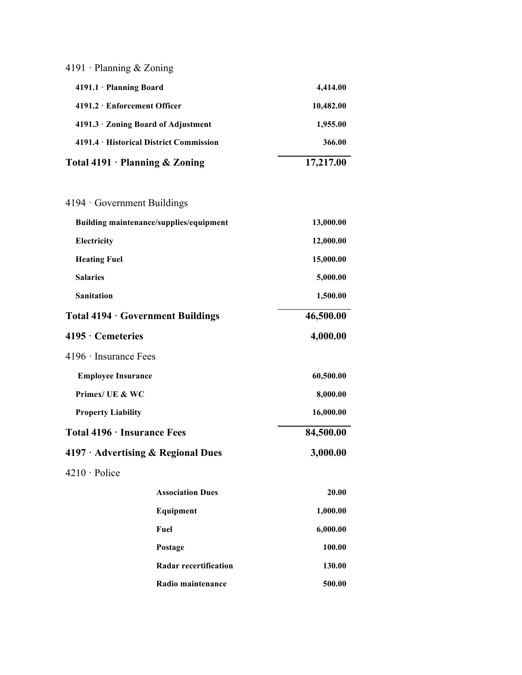| 4191 · Planning & Zoning                 |                                         |           |
|------------------------------------------|-----------------------------------------|-----------|
| 4191.1 · Planning Board                  |                                         | 4,414.00  |
| 4191.2 · Enforcement Officer             |                                         | 10,482.00 |
| 4191.3 · Zoning Board of Adjustment      |                                         | 1,955.00  |
| 4191.4 · Historical District Commission  |                                         | 366.00    |
| Total $4191 \cdot$ Planning & Zoning     |                                         | 17,217.00 |
|                                          |                                         |           |
| $4194 \cdot$ Government Buildings        |                                         |           |
|                                          | Building maintenance/supplies/equipment | 13,000.00 |
| Electricity                              |                                         | 12,000.00 |
| <b>Heating Fuel</b>                      |                                         | 15,000.00 |
| <b>Salaries</b>                          |                                         | 5,000.00  |
| <b>Sanitation</b>                        |                                         | 1,500.00  |
| Total 4194 · Government Buildings        |                                         | 46,500.00 |
| $4195 \cdot$ Cemeteries                  |                                         | 4,000.00  |
| $4196 \cdot$ Insurance Fees              |                                         |           |
|                                          |                                         |           |
| <b>Employee Insurance</b>                |                                         | 60,500.00 |
| Primex/ UE & WC                          |                                         | 8,000.00  |
| <b>Property Liability</b>                |                                         | 16,000.00 |
| Total 4196 · Insurance Fees              |                                         | 84,500.00 |
| $4197 \cdot$ Advertising & Regional Dues |                                         | 3,000.00  |
| 4210 · Police                            |                                         |           |
|                                          | <b>Association Dues</b>                 | 20.00     |
|                                          | Equipment                               | 1,000.00  |
|                                          | Fuel                                    | 6,000.00  |
|                                          | Postage                                 | 100.00    |
|                                          | <b>Radar recertification</b>            | 130.00    |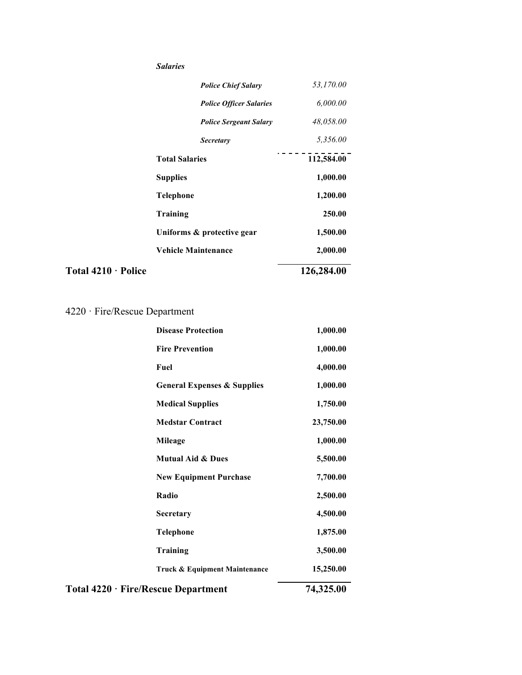|                     | <b>Salaries</b>            |                                |            |
|---------------------|----------------------------|--------------------------------|------------|
|                     |                            | <b>Police Chief Salary</b>     | 53,170.00  |
|                     |                            | <b>Police Officer Salaries</b> | 6,000.00   |
|                     |                            | <b>Police Sergeant Salary</b>  | 48,058.00  |
|                     |                            | <b>Secretary</b>               | 5,356.00   |
|                     | <b>Total Salaries</b>      |                                | 112,584.00 |
|                     | <b>Supplies</b>            |                                | 1,000.00   |
|                     | <b>Telephone</b>           |                                | 1,200.00   |
|                     | <b>Training</b>            |                                | 250.00     |
|                     |                            | Uniforms & protective gear     | 1,500.00   |
|                     | <b>Vehicle Maintenance</b> |                                | 2,000.00   |
| Total 4210 · Police |                            |                                | 126,284.00 |

## 4220 · Fire/Rescue Department

| <b>Disease Protection</b>              | 1,000.00  |
|----------------------------------------|-----------|
| <b>Fire Prevention</b>                 | 1,000.00  |
| Fuel                                   | 4,000.00  |
| <b>General Expenses &amp; Supplies</b> | 1,000.00  |
| <b>Medical Supplies</b>                | 1,750.00  |
| <b>Medstar Contract</b>                | 23,750.00 |
| Mileage                                | 1,000.00  |
| <b>Mutual Aid &amp; Dues</b>           | 5,500.00  |
| <b>New Equipment Purchase</b>          | 7,700.00  |
| Radio                                  | 2,500.00  |
| Secretary                              | 4,500.00  |
| <b>Telephone</b>                       | 1,875.00  |
| <b>Training</b>                        | 3,500.00  |
| Truck & Equipment Maintenance          | 15,250.00 |
| Total 4220 · Fire/Rescue Department    | 74,325.00 |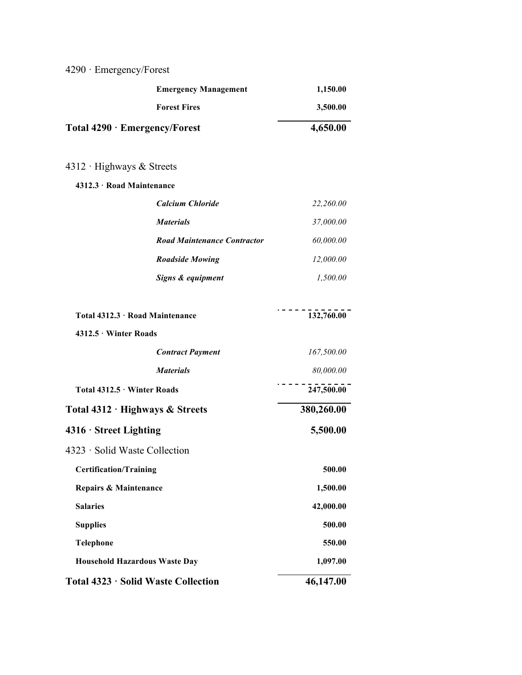# 4290 · Emergency/Forest

| <b>Forest Fires</b><br>3,500.00<br>4,650.00<br><b>Total 4290 <math>\cdot</math> Emergency/Forest</b><br>4312 · Highways & Streets<br>4312.3 · Road Maintenance<br><b>Calcium Chloride</b><br>22,260.00<br><b>Materials</b><br>37,000.00<br><b>Road Maintenance Contractor</b><br>60,000.00<br><b>Roadside Mowing</b><br>12,000.00<br>Signs & equipment<br>1,500.00<br>132,760.00<br>Total 4312.3 · Road Maintenance<br>4312.5 · Winter Roads<br>167,500.00<br><b>Contract Payment</b><br><b>Materials</b><br>80,000.00<br>247,500.00<br>Total 4312.5 · Winter Roads<br>380,260.00<br>Total 4312 · Highways & Streets<br>5,500.00<br>$4316 \cdot$ Street Lighting<br>4323 · Solid Waste Collection<br><b>Certification/Training</b><br>500.00<br><b>Repairs &amp; Maintenance</b><br>1,500.00<br><b>Salaries</b><br>42,000.00<br><b>Supplies</b><br>500.00<br>Telephone<br>550.00<br><b>Household Hazardous Waste Day</b><br>1,097.00<br>46,147.00<br>Total 4323 · Solid Waste Collection | <b>Emergency Management</b> | 1,150.00 |
|------------------------------------------------------------------------------------------------------------------------------------------------------------------------------------------------------------------------------------------------------------------------------------------------------------------------------------------------------------------------------------------------------------------------------------------------------------------------------------------------------------------------------------------------------------------------------------------------------------------------------------------------------------------------------------------------------------------------------------------------------------------------------------------------------------------------------------------------------------------------------------------------------------------------------------------------------------------------------------------|-----------------------------|----------|
|                                                                                                                                                                                                                                                                                                                                                                                                                                                                                                                                                                                                                                                                                                                                                                                                                                                                                                                                                                                          |                             |          |
|                                                                                                                                                                                                                                                                                                                                                                                                                                                                                                                                                                                                                                                                                                                                                                                                                                                                                                                                                                                          |                             |          |
|                                                                                                                                                                                                                                                                                                                                                                                                                                                                                                                                                                                                                                                                                                                                                                                                                                                                                                                                                                                          |                             |          |
|                                                                                                                                                                                                                                                                                                                                                                                                                                                                                                                                                                                                                                                                                                                                                                                                                                                                                                                                                                                          |                             |          |
|                                                                                                                                                                                                                                                                                                                                                                                                                                                                                                                                                                                                                                                                                                                                                                                                                                                                                                                                                                                          |                             |          |
|                                                                                                                                                                                                                                                                                                                                                                                                                                                                                                                                                                                                                                                                                                                                                                                                                                                                                                                                                                                          |                             |          |
|                                                                                                                                                                                                                                                                                                                                                                                                                                                                                                                                                                                                                                                                                                                                                                                                                                                                                                                                                                                          |                             |          |
|                                                                                                                                                                                                                                                                                                                                                                                                                                                                                                                                                                                                                                                                                                                                                                                                                                                                                                                                                                                          |                             |          |
|                                                                                                                                                                                                                                                                                                                                                                                                                                                                                                                                                                                                                                                                                                                                                                                                                                                                                                                                                                                          |                             |          |
|                                                                                                                                                                                                                                                                                                                                                                                                                                                                                                                                                                                                                                                                                                                                                                                                                                                                                                                                                                                          |                             |          |
|                                                                                                                                                                                                                                                                                                                                                                                                                                                                                                                                                                                                                                                                                                                                                                                                                                                                                                                                                                                          |                             |          |
|                                                                                                                                                                                                                                                                                                                                                                                                                                                                                                                                                                                                                                                                                                                                                                                                                                                                                                                                                                                          |                             |          |
|                                                                                                                                                                                                                                                                                                                                                                                                                                                                                                                                                                                                                                                                                                                                                                                                                                                                                                                                                                                          |                             |          |
|                                                                                                                                                                                                                                                                                                                                                                                                                                                                                                                                                                                                                                                                                                                                                                                                                                                                                                                                                                                          |                             |          |
|                                                                                                                                                                                                                                                                                                                                                                                                                                                                                                                                                                                                                                                                                                                                                                                                                                                                                                                                                                                          |                             |          |
|                                                                                                                                                                                                                                                                                                                                                                                                                                                                                                                                                                                                                                                                                                                                                                                                                                                                                                                                                                                          |                             |          |
|                                                                                                                                                                                                                                                                                                                                                                                                                                                                                                                                                                                                                                                                                                                                                                                                                                                                                                                                                                                          |                             |          |
|                                                                                                                                                                                                                                                                                                                                                                                                                                                                                                                                                                                                                                                                                                                                                                                                                                                                                                                                                                                          |                             |          |
|                                                                                                                                                                                                                                                                                                                                                                                                                                                                                                                                                                                                                                                                                                                                                                                                                                                                                                                                                                                          |                             |          |
|                                                                                                                                                                                                                                                                                                                                                                                                                                                                                                                                                                                                                                                                                                                                                                                                                                                                                                                                                                                          |                             |          |
|                                                                                                                                                                                                                                                                                                                                                                                                                                                                                                                                                                                                                                                                                                                                                                                                                                                                                                                                                                                          |                             |          |
|                                                                                                                                                                                                                                                                                                                                                                                                                                                                                                                                                                                                                                                                                                                                                                                                                                                                                                                                                                                          |                             |          |
|                                                                                                                                                                                                                                                                                                                                                                                                                                                                                                                                                                                                                                                                                                                                                                                                                                                                                                                                                                                          |                             |          |
|                                                                                                                                                                                                                                                                                                                                                                                                                                                                                                                                                                                                                                                                                                                                                                                                                                                                                                                                                                                          |                             |          |
|                                                                                                                                                                                                                                                                                                                                                                                                                                                                                                                                                                                                                                                                                                                                                                                                                                                                                                                                                                                          |                             |          |
|                                                                                                                                                                                                                                                                                                                                                                                                                                                                                                                                                                                                                                                                                                                                                                                                                                                                                                                                                                                          |                             |          |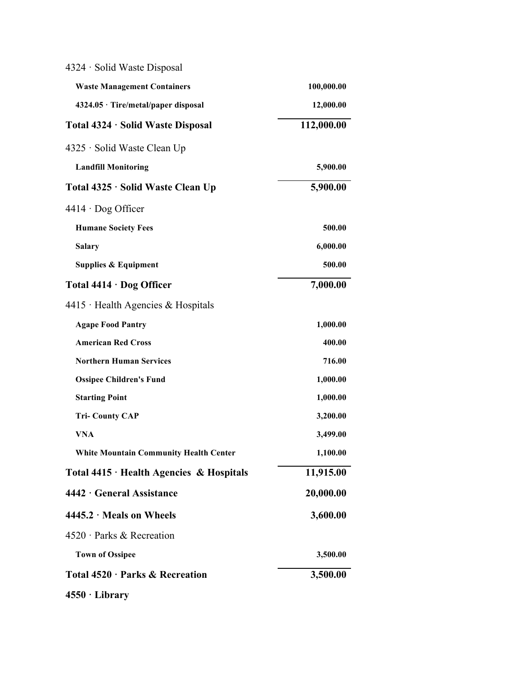| 4324 · Solid Waste Disposal                    |            |
|------------------------------------------------|------------|
| <b>Waste Management Containers</b>             | 100,000.00 |
| 4324.05 · Tire/metal/paper disposal            | 12,000.00  |
| Total 4324 · Solid Waste Disposal              | 112,000.00 |
| 4325 · Solid Waste Clean Up                    |            |
| <b>Landfill Monitoring</b>                     | 5,900.00   |
| Total 4325 · Solid Waste Clean Up              | 5,900.00   |
| $4414 \cdot$ Dog Officer                       |            |
| <b>Humane Society Fees</b>                     | 500.00     |
| <b>Salary</b>                                  | 6,000.00   |
| <b>Supplies &amp; Equipment</b>                | 500.00     |
| Total $4414 \cdot$ Dog Officer                 | 7,000.00   |
| $4415$ Health Agencies & Hospitals             |            |
| <b>Agape Food Pantry</b>                       | 1,000.00   |
| <b>American Red Cross</b>                      | 400.00     |
| <b>Northern Human Services</b>                 | 716.00     |
| <b>Ossipee Children's Fund</b>                 | 1,000.00   |
| <b>Starting Point</b>                          | 1,000.00   |
| <b>Tri-County CAP</b>                          | 3,200.00   |
| <b>VNA</b>                                     | 3,499.00   |
| <b>White Mountain Community Health Center</b>  | 1,100.00   |
| Total $4415 \cdot$ Health Agencies & Hospitals | 11,915.00  |
| 4442 · General Assistance                      | 20,000.00  |
| $4445.2 \cdot$ Meals on Wheels                 | 3,600.00   |
| 4520 · Parks & Recreation                      |            |
| <b>Town of Ossipee</b>                         | 3,500.00   |
| Total 4520 · Parks & Recreation                | 3,500.00   |
| $4550 \cdot Library$                           |            |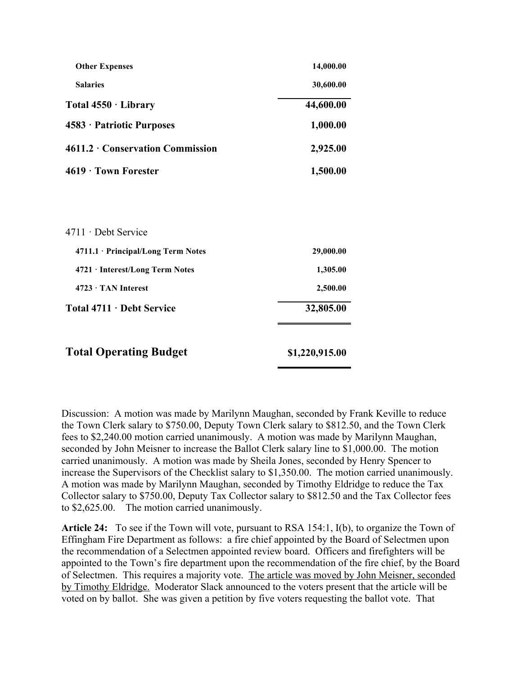| <b>Other Expenses</b>              | 14,000.00      |
|------------------------------------|----------------|
| <b>Salaries</b>                    | 30,600.00      |
| Total $4550 \cdot$ Library         | 44,600.00      |
| 4583 · Patriotic Purposes          | 1,000.00       |
| 4611.2 Conservation Commission     | 2,925.00       |
| $4619 \cdot$ Town Forester         | 1,500.00       |
|                                    |                |
| 4711 · Debt Service                |                |
|                                    |                |
| 4711.1 · Principal/Long Term Notes | 29,000.00      |
| 4721 · Interest/Long Term Notes    | 1,305.00       |
| $4723 \cdot$ TAN Interest          | 2,500.00       |
| Total 4711 · Debt Service          | 32,805.00      |
| <b>Total Operating Budget</b>      | \$1,220,915.00 |

Discussion: A motion was made by Marilynn Maughan, seconded by Frank Keville to reduce the Town Clerk salary to \$750.00, Deputy Town Clerk salary to \$812.50, and the Town Clerk fees to \$2,240.00 motion carried unanimously. A motion was made by Marilynn Maughan, seconded by John Meisner to increase the Ballot Clerk salary line to \$1,000.00. The motion carried unanimously. A motion was made by Sheila Jones, seconded by Henry Spencer to increase the Supervisors of the Checklist salary to \$1,350.00. The motion carried unanimously. A motion was made by Marilynn Maughan, seconded by Timothy Eldridge to reduce the Tax Collector salary to \$750.00, Deputy Tax Collector salary to \$812.50 and the Tax Collector fees to \$2,625.00. The motion carried unanimously.

**Article 24:** To see if the Town will vote, pursuant to RSA 154:1, I(b), to organize the Town of Effingham Fire Department as follows: a fire chief appointed by the Board of Selectmen upon the recommendation of a Selectmen appointed review board. Officers and firefighters will be appointed to the Town's fire department upon the recommendation of the fire chief, by the Board of Selectmen. This requires a majority vote. The article was moved by John Meisner, seconded by Timothy Eldridge. Moderator Slack announced to the voters present that the article will be voted on by ballot. She was given a petition by five voters requesting the ballot vote. That